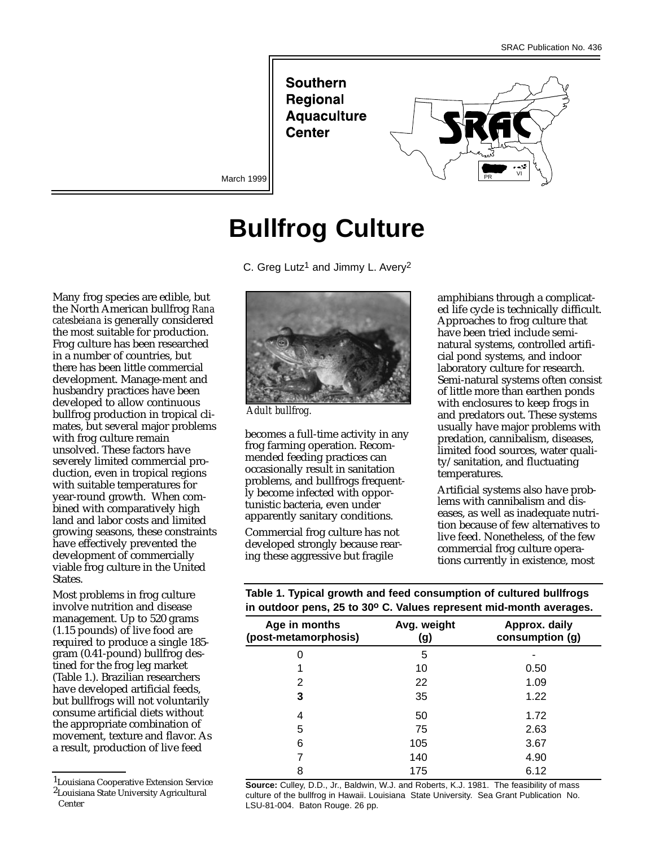**Southern Regional Aquaculture Center** 



March 1999

# **Bullfrog Culture**

C. Greg Lutz<sup>1</sup> and Jimmy L. Avery<sup>2</sup>

Many frog species are edible, but the North American bullfrog *Rana catesbeiana* is generally considered the most suitable for production. Frog culture has been researched in a number of countries, but there has been little commercial development. Manage-ment and husbandry practices have been developed to allow continuous bullfrog production in tropical climates, but several major problems with frog culture remain unsolved. These factors have severely limited commercial production, even in tropical regions with suitable temperatures for year-round growth. When combined with comparatively high land and labor costs and limited growing seasons, these constraints have effectively prevented the development of commercially viable frog culture in the United States.

Most problems in frog culture involve nutrition and disease management. Up to 520 grams (1.15 pounds) of live food are required to produce a single 185 gram (0.41-pound) bullfrog destined for the frog leg market (Table 1.). Brazilian researchers have developed artificial feeds, but bullfrogs will not voluntarily consume artificial diets without the appropriate combination of movement, texture and flavor. As a result, production of live feed

1Louisiana Cooperative Extension Service 2Louisiana State University Agricultural Center



*Adult bullfrog.*

becomes a full-time activity in any frog farming operation. Recommended feeding practices can occasionally result in sanitation problems, and bullfrogs frequently become infected with opportunistic bacteria, even under apparently sanitary conditions.

Commercial frog culture has not developed strongly because rearing these aggressive but fragile

amphibians through a complicated life cycle is technically difficult. Approaches to frog culture that have been tried include seminatural systems, controlled artificial pond systems, and indoor laboratory culture for research. Semi-natural systems often consist of little more than earthen ponds with enclosures to keep frogs in and predators out. These systems usually have major problems with predation, cannibalism, diseases, limited food sources, water quality/sanitation, and fluctuating temperatures.

Artificial systems also have problems with cannibalism and diseases, as well as inadequate nutrition because of few alternatives to live feed. Nonetheless, of the few commercial frog culture operations currently in existence, most

**Table 1. Typical growth and feed consumption of cultured bullfrogs in outdoor pens, 25 to 30o C. Values represent mid-month averages.**

| $\blacksquare$     |                                  |
|--------------------|----------------------------------|
| Avg. weight<br>(g) | Approx. daily<br>consumption (g) |
| 5                  |                                  |
| 10                 | 0.50                             |
| 22                 | 1.09                             |
| 35                 | 1.22                             |
| 50                 | 1.72                             |
| 75                 | 2.63                             |
| 105                | 3.67                             |
| 140                | 4.90                             |
| 175                | 6.12                             |
|                    |                                  |

**Source:** Culley, D.D., Jr., Baldwin, W.J. and Roberts, K.J. 1981. The feasibility of mass culture of the bullfrog in Hawaii. Louisiana State University. Sea Grant Publication No. LSU-81-004. Baton Rouge. 26 pp.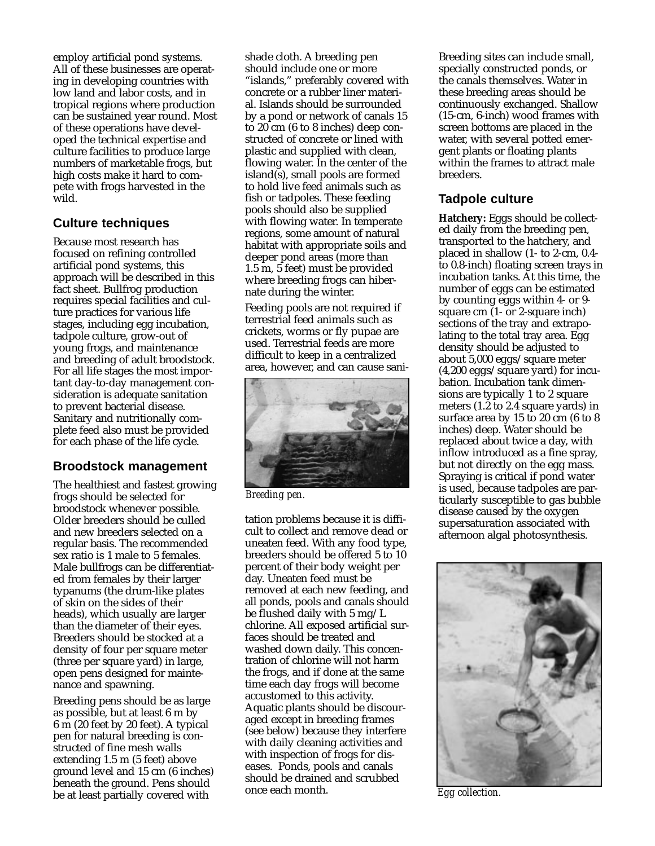employ artificial pond systems. All of these businesses are operating in developing countries with low land and labor costs, and in tropical regions where production can be sustained year round. Most of these operations have developed the technical expertise and culture facilities to produce large numbers of marketable frogs, but high costs make it hard to compete with frogs harvested in the wild.

### **Culture techniques**

Because most research has focused on refining controlled artificial pond systems, this approach will be described in this fact sheet. Bullfrog production requires special facilities and culture practices for various life stages, including egg incubation, tadpole culture, grow-out of young frogs, and maintenance and breeding of adult broodstock. For all life stages the most important day-to-day management consideration is adequate sanitation to prevent bacterial disease. Sanitary and nutritionally complete feed also must be provided for each phase of the life cycle.

### **Broodstock management**

The healthiest and fastest growing frogs should be selected for broodstock whenever possible. Older breeders should be culled and new breeders selected on a regular basis. The recommended sex ratio is 1 male to 5 females. Male bullfrogs can be differentiated from females by their larger typanums (the drum-like plates of skin on the sides of their heads), which usually are larger than the diameter of their eyes. Breeders should be stocked at a density of four per square meter (three per square yard) in large, open pens designed for maintenance and spawning.

Breeding pens should be as large as possible, but at least 6 m by 6 m (20 feet by 20 feet). A typical pen for natural breeding is constructed of fine mesh walls extending 1.5 m (5 feet) above ground level and 15 cm (6 inches) beneath the ground. Pens should be at least partially covered with

shade cloth. A breeding pen should include one or more "islands," preferably covered with concrete or a rubber liner material. Islands should be surrounded by a pond or network of canals 15 to 20 cm (6 to 8 inches) deep constructed of concrete or lined with plastic and supplied with clean, flowing water. In the center of the  $island(s)$ , small pools are formed to hold live feed animals such as fish or tadpoles. These feeding pools should also be supplied with flowing water. In temperate regions, some amount of natural habitat with appropriate soils and deeper pond areas (more than 1.5 m, 5 feet) must be provided where breeding frogs can hibernate during the winter.

Feeding pools are not required if terrestrial feed animals such as crickets, worms or fly pupae are used. Terrestrial feeds are more difficult to keep in a centralized area, however, and can cause sani-



*Breeding pen.*

tation problems because it is difficult to collect and remove dead or uneaten feed. With any food type, breeders should be offered 5 to 10 percent of their body weight per day. Uneaten feed must be removed at each new feeding, and all ponds, pools and canals should be flushed daily with 5 mg/L chlorine. All exposed artificial surfaces should be treated and washed down daily. This concentration of chlorine will not harm the frogs, and if done at the same time each day frogs will become accustomed to this activity. Aquatic plants should be discouraged except in breeding frames (see below) because they interfere with daily cleaning activities and with inspection of frogs for diseases. Ponds, pools and canals should be drained and scrubbed once each month.

Breeding sites can include small, specially constructed ponds, or the canals themselves. Water in these breeding areas should be continuously exchanged. Shallow (15-cm, 6-inch) wood frames with screen bottoms are placed in the water, with several potted emergent plants or floating plants within the frames to attract male breeders.

#### **Tadpole culture**

**Hatchery:** Eggs should be collected daily from the breeding pen, transported to the hatchery, and placed in shallow (1- to 2-cm, 0.4 to 0.8-inch) floating screen trays in incubation tanks. At this time, the number of eggs can be estimated by counting eggs within 4- or 9 square cm (1- or 2-square inch) sections of the tray and extrapolating to the total tray area. Egg density should be adjusted to about 5,000 eggs/square meter (4,200 eggs/square yard) for incubation. Incubation tank dimensions are typically 1 to 2 square meters (1.2 to 2.4 square yards) in surface area by 15 to 20 cm (6 to 8 inches) deep. Water should be replaced about twice a day, with inflow introduced as a fine spray, but not directly on the egg mass. Spraying is critical if pond water is used, because tadpoles are particularly susceptible to gas bubble disease caused by the oxygen supersaturation associated with afternoon algal photosynthesis.



*Egg collection.*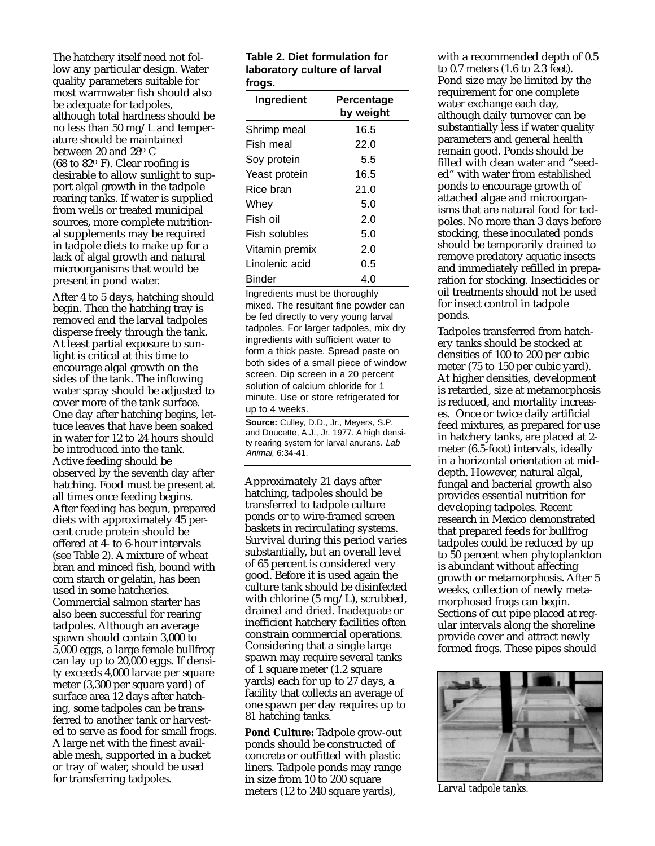The hatchery itself need not follow any particular design. Water quality parameters suitable for most warmwater fish should also be adequate for tadpoles, although total hardness should be no less than 50 mg/L and temperature should be maintained between 20 and 28o C (68 to 82o F). Clear roofing is desirable to allow sunlight to support algal growth in the tadpole rearing tanks. If water is supplied from wells or treated municipal sources, more complete nutritional supplements may be required in tadpole diets to make up for a lack of algal growth and natural microorganisms that would be present in pond water.

After 4 to 5 days, hatching should begin. Then the hatching tray is removed and the larval tadpoles disperse freely through the tank. At least partial exposure to sunlight is critical at this time to encourage algal growth on the sides of the tank. The inflowing water spray should be adjusted to cover more of the tank surface. One day after hatching begins, lettuce leaves that have been soaked in water for 12 to 24 hours should be introduced into the tank. Active feeding should be observed by the seventh day after hatching. Food must be present at all times once feeding begins. After feeding has begun, prepared diets with approximately 45 percent crude protein should be offered at 4- to 6-hour intervals (see Table 2). A mixture of wheat bran and minced fish, bound with corn starch or gelatin, has been used in some hatcheries. Commercial salmon starter has also been successful for rearing tadpoles. Although an average spawn should contain 3,000 to 5,000 eggs, a large female bullfrog can lay up to 20,000 eggs. If density exceeds 4,000 larvae per square meter (3,300 per square yard) of surface area 12 days after hatching, some tadpoles can be transferred to another tank or harvested to serve as food for small frogs. A large net with the finest available mesh, supported in a bucket or tray of water, should be used for transferring tadpoles.

#### **Table 2. Diet formulation for laboratory culture of larval frogs.**

| Ingredient     | Percentage<br>by weight |
|----------------|-------------------------|
| Shrimp meal    | 16.5                    |
| Fish meal      | 22.0                    |
| Soy protein    | 5.5                     |
| Yeast protein  | 16.5                    |
| Rice bran      | 21.0                    |
| Whev           | 5.0                     |
| Fish oil       | 2.0                     |
| Fish solubles  | 5.0                     |
| Vitamin premix | 2.0                     |
| Linolenic acid | 0.5                     |
| Binder         | 4.0                     |

Ingredients must be thoroughly mixed. The resultant fine powder can be fed directly to very young larval tadpoles. For larger tadpoles, mix dry ingredients with sufficient water to form a thick paste. Spread paste on both sides of a small piece of window screen. Dip screen in a 20 percent solution of calcium chloride for 1 minute. Use or store refrigerated for up to 4 weeks.

**Source:** Culley, D.D., Jr., Meyers, S.P. and Doucette, A.J., Jr. 1977. A high density rearing system for larval anurans. Lab Animal, 6:34-41.

Approximately 21 days after hatching, tadpoles should be transferred to tadpole culture ponds or to wire-framed screen baskets in recirculating systems. Survival during this period varies substantially, but an overall level of 65 percent is considered very good. Before it is used again the culture tank should be disinfected with chlorine (5 mg/L), scrubbed, drained and dried. Inadequate or inefficient hatchery facilities often constrain commercial operations. Considering that a single large spawn may require several tanks of 1 square meter (1.2 square yards) each for up to 27 days, a facility that collects an average of one spawn per day requires up to 81 hatching tanks.

**Pond Culture:** Tadpole grow-out ponds should be constructed of concrete or outfitted with plastic liners. Tadpole ponds may range in size from 10 to 200 square meters (12 to 240 square yards),

with a recommended depth of 0.5 to 0.7 meters (1.6 to 2.3 feet). Pond size may be limited by the requirement for one complete water exchange each day, although daily turnover can be substantially less if water quality parameters and general health remain good. Ponds should be filled with clean water and "seeded" with water from established ponds to encourage growth of attached algae and microorganisms that are natural food for tadpoles. No more than 3 days before stocking, these inoculated ponds should be temporarily drained to remove predatory aquatic insects and immediately refilled in preparation for stocking. Insecticides or oil treatments should not be used for insect control in tadpole ponds.

Tadpoles transferred from hatchery tanks should be stocked at densities of 100 to 200 per cubic meter (75 to 150 per cubic yard). At higher densities, development is retarded, size at metamorphosis is reduced, and mortality increases. Once or twice daily artificial feed mixtures, as prepared for use in hatchery tanks, are placed at 2 meter (6.5-foot) intervals, ideally in a horizontal orientation at middepth. However, natural algal, fungal and bacterial growth also provides essential nutrition for developing tadpoles. Recent research in Mexico demonstrated that prepared feeds for bullfrog tadpoles could be reduced by up to 50 percent when phytoplankton is abundant without affecting growth or metamorphosis. After 5 weeks, collection of newly metamorphosed frogs can begin. Sections of cut pipe placed at regular intervals along the shoreline provide cover and attract newly formed frogs. These pipes should



*Larval tadpole tanks.*